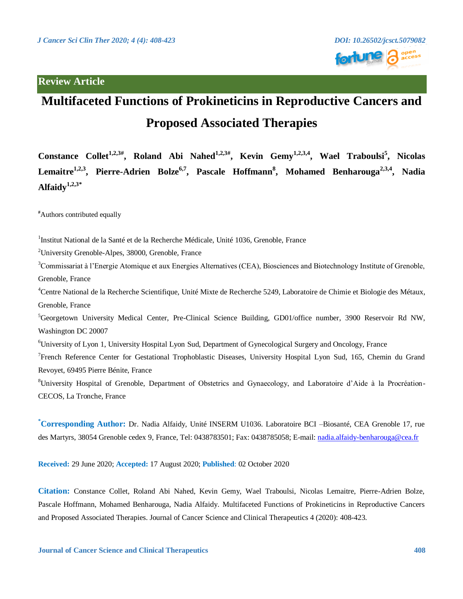## **Review Article**



# **Multifaceted Functions of Prokineticins in Reproductive Cancers and Proposed Associated Therapies**

**Constance Collet1,2,3# , Roland Abi Nahed1,2,3# , Kevin Gemy1,2,3,4 , Wael Traboulsi<sup>5</sup> , Nicolas Lemaitre1,2,3, Pierre-Adrien Bolze6,7, Pascale Hoffmann<sup>8</sup> , Mohamed Benharouga2,3,4, Nadia Alfaidy1,2,3\***

**#**Authors contributed equally

<sup>1</sup>Institut National de la Santé et de la Recherche Médicale, Unité 1036, Grenoble, France

<sup>2</sup>University Grenoble-Alpes, 38000, Grenoble, France

<sup>3</sup>Commissariat à l'Energie Atomique et aux Energies Alternatives (CEA), Biosciences and Biotechnology Institute of Grenoble, Grenoble, France

<sup>4</sup>Centre National de la Recherche Scientifique, Unité Mixte de Recherche 5249, Laboratoire de Chimie et Biologie des Métaux, Grenoble, France

 ${}^{5}$ Georgetown University Medical Center, Pre-Clinical Science Building, GD01/office number, 3900 Reservoir Rd NW, Washington DC 20007

<sup>6</sup>University of Lyon 1, University Hospital Lyon Sud, Department of Gynecological Surgery and Oncology, France

<sup>7</sup> French Reference Center for Gestational Trophoblastic Diseases, University Hospital Lyon Sud, 165, Chemin du Grand Revoyet, 69495 Pierre Bénite, France

<sup>8</sup>University Hospital of Grenoble, Department of Obstetrics and Gynaecology, and Laboratoire d'Aide à la Procréation-CECOS, La Tronche, France

**\*Corresponding Author:** Dr. Nadia Alfaidy, Unité INSERM U1036. Laboratoire BCI –Biosanté, CEA Grenoble 17, rue des Martyrs, 38054 Grenoble cedex 9, France, Tel: 0438783501; Fax: 0438785058; E-mail: [nadia.alfaidy-benharouga@cea.fr](mailto:nadia.alfaidy-benharouga@cea.fr)

**Received:** 29 June 2020; **Accepted:** 17 August 2020; **Published**: 02 October 2020

**Citation:** Constance Collet, Roland Abi Nahed, Kevin Gemy, Wael Traboulsi, Nicolas Lemaitre, Pierre-Adrien Bolze, Pascale Hoffmann, Mohamed Benharouga, Nadia Alfaidy. Multifaceted Functions of Prokineticins in Reproductive Cancers and Proposed Associated Therapies. Journal of Cancer Science and Clinical Therapeutics 4 (2020): 408-423.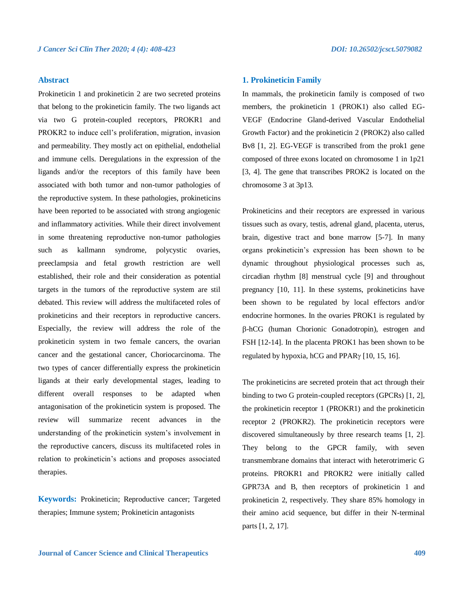## **Abstract**

Prokineticin 1 and prokineticin 2 are two secreted proteins that belong to the prokineticin family. The two ligands act via two G protein-coupled receptors, PROKR1 and PROKR2 to induce cell's proliferation, migration, invasion and permeability. They mostly act on epithelial, endothelial and immune cells. Deregulations in the expression of the ligands and/or the receptors of this family have been associated with both tumor and non-tumor pathologies of the reproductive system. In these pathologies, prokineticins have been reported to be associated with strong angiogenic and inflammatory activities. While their direct involvement in some threatening reproductive non-tumor pathologies such as kallmann syndrome, polycystic ovaries, preeclampsia and fetal growth restriction are well established, their role and their consideration as potential targets in the tumors of the reproductive system are stil debated. This review will address the multifaceted roles of prokineticins and their receptors in reproductive cancers. Especially, the review will address the role of the prokineticin system in two female cancers, the ovarian cancer and the gestational cancer, Choriocarcinoma. The two types of cancer differentially express the prokineticin ligands at their early developmental stages, leading to different overall responses to be adapted when antagonisation of the prokineticin system is proposed. The review will summarize recent advances in the understanding of the prokineticin system's involvement in the reproductive cancers, discuss its multifaceted roles in relation to prokineticin's actions and proposes associated therapies.

**Keywords:** Prokineticin; Reproductive cancer; Targeted therapies; Immune system; Prokineticin antagonists

## **1. Prokineticin Family**

In mammals, the prokineticin family is composed of two members, the prokineticin 1 (PROK1) also called EG-VEGF (Endocrine Gland-derived Vascular Endothelial Growth Factor) and the prokineticin 2 (PROK2) also called Bv8 [1, 2]. EG-VEGF is transcribed from the prok1 gene composed of three exons located on chromosome 1 in 1p21 [3, 4]. The gene that transcribes PROK2 is located on the chromosome 3 at 3p13.

Prokineticins and their receptors are expressed in various tissues such as ovary, testis, adrenal gland, placenta, uterus, brain, digestive tract and bone marrow [5-7]. In many organs prokineticin's expression has been shown to be dynamic throughout physiological processes such as, circadian rhythm [8] menstrual cycle [9] and throughout pregnancy [10, 11]. In these systems, prokineticins have been shown to be regulated by local effectors and/or endocrine hormones. In the ovaries PROK1 is regulated by -hCG (human Chorionic Gonadotropin), estrogen and FSH [12-14]. In the placenta PROK1 has been shown to be regulated by hypoxia, hCG and PPAR $\gamma$  [10, 15, 16].

The prokineticins are secreted protein that act through their binding to two G protein-coupled receptors (GPCRs) [1, 2], the prokineticin receptor 1 (PROKR1) and the prokineticin receptor 2 (PROKR2). The prokineticin receptors were discovered simultaneously by three research teams [1, 2]. They belong to the GPCR family, with seven transmembrane domains that interact with heterotrimeric G proteins. PROKR1 and PROKR2 were initially called GPR73A and B, then receptors of prokineticin 1 and prokineticin 2, respectively. They share 85% homology in their amino acid sequence, but differ in their N-terminal parts [1, 2, 17].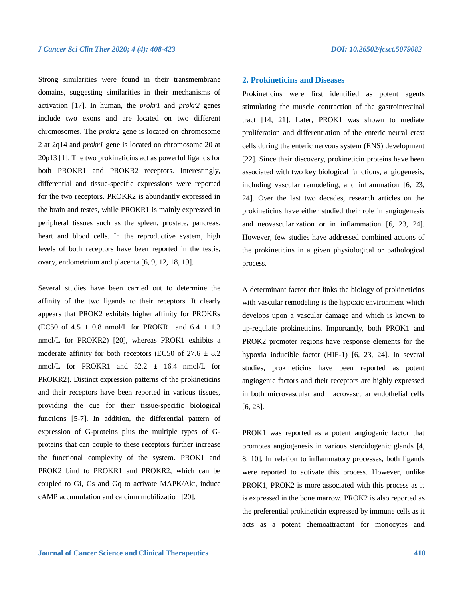Strong similarities were found in their transmembrane domains, suggesting similarities in their mechanisms of activation [17]. In human, the *prokr1* and *prokr2* genes include two exons and are located on two different chromosomes. The *prokr2* gene is located on chromosome 2 at 2q14 and *prokr1* gene is located on chromosome 20 at 20p13 [1]. The two prokineticins act as powerful ligands for both PROKR1 and PROKR2 receptors. Interestingly, differential and tissue-specific expressions were reported for the two receptors. PROKR2 is abundantly expressed in the brain and testes, while PROKR1 is mainly expressed in peripheral tissues such as the spleen, prostate, pancreas, heart and blood cells. In the reproductive system, high levels of both receptors have been reported in the testis, ovary, endometrium and placenta [6, 9, 12, 18, 19].

Several studies have been carried out to determine the affinity of the two ligands to their receptors. It clearly appears that PROK2 exhibits higher affinity for PROKRs (EC50 of 4.5  $\pm$  0.8 nmol/L for PROKR1 and 6.4  $\pm$  1.3 nmol/L for PROKR2) [20], whereas PROK1 exhibits a moderate affinity for both receptors (EC50 of  $27.6 \pm 8.2$ ) nmol/L for PROKR1 and 52.2 ± 16.4 nmol/L for PROKR2). Distinct expression patterns of the prokineticins and their receptors have been reported in various tissues, providing the cue for their tissue-specific biological functions [5-7]. In addition, the differential pattern of expression of G-proteins plus the multiple types of Gproteins that can couple to these receptors further increase the functional complexity of the system. PROK1 and PROK2 bind to PROKR1 and PROKR2, which can be coupled to Gi, Gs and Gq to activate MAPK/Akt, induce cAMP accumulation and calcium mobilization [20].

## **2. Prokineticins and Diseases**

Prokineticins were first identified as potent agents stimulating the muscle contraction of the gastrointestinal tract [14, 21]. Later, PROK1 was shown to mediate proliferation and differentiation of the enteric neural crest cells during the enteric nervous system (ENS) development [22]. Since their discovery, prokineticin proteins have been associated with two key biological functions, angiogenesis, including vascular remodeling, and inflammation [6, 23, 24]. Over the last two decades, research articles on the prokineticins have either studied their role in angiogenesis and neovascularization or in inflammation [6, 23, 24]. However, few studies have addressed combined actions of the prokineticins in a given physiological or pathological process.

A determinant factor that links the biology of prokineticins with vascular remodeling is the hypoxic environment which develops upon a vascular damage and which is known to up-regulate prokineticins. Importantly, both PROK1 and PROK2 promoter regions have response elements for the hypoxia inducible factor (HIF-1) [6, 23, 24]. In several studies, prokineticins have been reported as potent angiogenic factors and their receptors are highly expressed in both microvascular and macrovascular endothelial cells [6, 23].

PROK1 was reported as a potent angiogenic factor that promotes angiogenesis in various steroidogenic glands [4, 8, 10]. In relation to inflammatory processes, both ligands were reported to activate this process. However, unlike PROK1, PROK2 is more associated with this process as it is expressed in the bone marrow. PROK2 is also reported as the preferential prokineticin expressed by immune cells as it acts as a potent chemoattractant for monocytes and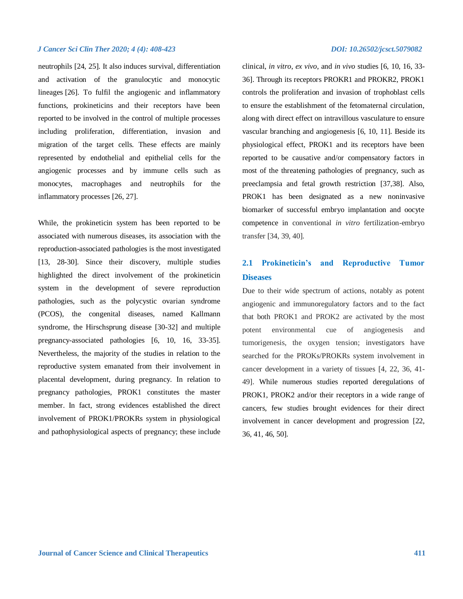neutrophils [24, 25]. It also induces survival, differentiation and activation of the granulocytic and monocytic lineages [26]. To fulfil the angiogenic and inflammatory functions, prokineticins and their receptors have been reported to be involved in the control of multiple processes including proliferation, differentiation, invasion and migration of the target cells. These effects are mainly represented by endothelial and epithelial cells for the angiogenic processes and by immune cells such as monocytes, macrophages and neutrophils for the inflammatory processes [26, 27].

While, the prokineticin system has been reported to be associated with numerous diseases, its association with the reproduction-associated pathologies is the most investigated [13, 28-30]. Since their discovery, multiple studies highlighted the direct involvement of the prokineticin system in the development of severe reproduction pathologies, such as the polycystic ovarian syndrome (PCOS), the congenital diseases, named Kallmann syndrome, the Hirschsprung disease [30-32] and multiple pregnancy-associated pathologies [6, 10, 16, 33-35]. Nevertheless, the majority of the studies in relation to the reproductive system emanated from their involvement in placental development, during pregnancy. In relation to pregnancy pathologies, PROK1 constitutes the master member. In fact, strong evidences established the direct involvement of PROK1/PROKRs system in physiological and pathophysiological aspects of pregnancy; these include

clinical, *in vitro*, *ex vivo*, and *in vivo* studies [6, 10, 16, 33- 36]. Through its receptors PROKR1 and PROKR2, PROK1 controls the proliferation and invasion of trophoblast cells to ensure the establishment of the fetomaternal circulation, along with direct effect on intravillous vasculature to ensure vascular branching and angiogenesis [6, 10, 11]. Beside its physiological effect, PROK1 and its receptors have been reported to be causative and/or compensatory factors in most of the threatening pathologies of pregnancy, such as preeclampsia and fetal growth restriction [37,38]. Also, PROK1 has been designated as a new noninvasive biomarker of successful embryo implantation and oocyte competence in conventional *in vitro* fertilization-embryo transfer [34, 39, 40].

## **2.1 Prokineticin's and Reproductive Tumor Diseases**

Due to their wide spectrum of actions, notably as potent angiogenic and immunoregulatory factors and to the fact that both PROK1 and PROK2 are activated by the most potent environmental cue of angiogenesis and tumorigenesis, the oxygen tension; investigators have searched for the PROKs/PROKRs system involvement in cancer development in a variety of tissues [4, 22, 36, 41- 49]. While numerous studies reported deregulations of PROK1, PROK2 and/or their receptors in a wide range of cancers, few studies brought evidences for their direct involvement in cancer development and progression [22, 36, 41, 46, 50].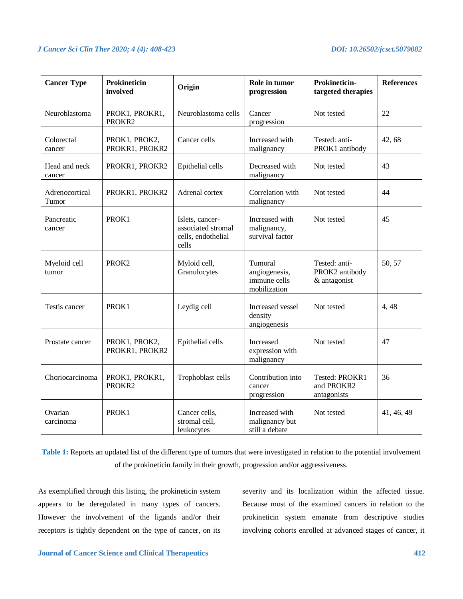| <b>Cancer Type</b>      | <b>Prokineticin</b><br>involved | Origin                                                               | Role in tumor<br>progression                             | Prokineticin-<br>targeted therapies             | <b>References</b> |
|-------------------------|---------------------------------|----------------------------------------------------------------------|----------------------------------------------------------|-------------------------------------------------|-------------------|
| Neuroblastoma           | PROK1, PROKR1,<br>PROKR2        | Neuroblastoma cells                                                  | Cancer<br>progression                                    | Not tested                                      | 22                |
| Colorectal<br>cancer    | PROK1, PROK2,<br>PROKR1, PROKR2 | Cancer cells                                                         | Increased with<br>malignancy                             | Tested: anti-<br>PROK1 antibody                 | 42,68             |
| Head and neck<br>cancer | PROKR1, PROKR2                  | Epithelial cells                                                     | Decreased with<br>malignancy                             | Not tested                                      | 43                |
| Adrenocortical<br>Tumor | PROKR1, PROKR2                  | Adrenal cortex                                                       | Correlation with<br>malignancy                           | Not tested                                      | 44                |
| Pancreatic<br>cancer    | PROK1                           | Islets, cancer-<br>associated stromal<br>cells, endothelial<br>cells | Increased with<br>malignancy,<br>survival factor         | Not tested                                      | 45                |
| Myeloid cell<br>tumor   | PROK <sub>2</sub>               | Myloid cell,<br>Granulocytes                                         | Tumoral<br>angiogenesis,<br>immune cells<br>mobilization | Tested: anti-<br>PROK2 antibody<br>& antagonist | 50, 57            |
| Testis cancer           | PROK1                           | Leydig cell                                                          | Increased vessel<br>density<br>angiogenesis              | Not tested                                      | 4,48              |
| Prostate cancer         | PROK1, PROK2,<br>PROKR1, PROKR2 | Epithelial cells                                                     | Increased<br>expression with<br>malignancy               | Not tested                                      | 47                |
| Choriocarcinoma         | PROK1, PROKR1,<br>PROKR2        | Trophoblast cells                                                    | Contribution into<br>cancer<br>progression               | Tested: PROKR1<br>and PROKR2<br>antagonists     | 36                |
| Ovarian<br>carcinoma    | PROK1                           | Cancer cells,<br>stromal cell,<br>leukocytes                         | Increased with<br>malignancy but<br>still a debate       | Not tested                                      | 41, 46, 49        |

**Table 1:** Reports an updated list of the different type of tumors that were investigated in relation to the potential involvement of the prokineticin family in their growth, progression and/or aggressiveness.

As exemplified through this listing, the prokineticin system appears to be deregulated in many types of cancers. However the involvement of the ligands and/or their receptors is tightly dependent on the type of cancer, on its severity and its localization within the affected tissue. Because most of the examined cancers in relation to the prokineticin system emanate from descriptive studies involving cohorts enrolled at advanced stages of cancer, it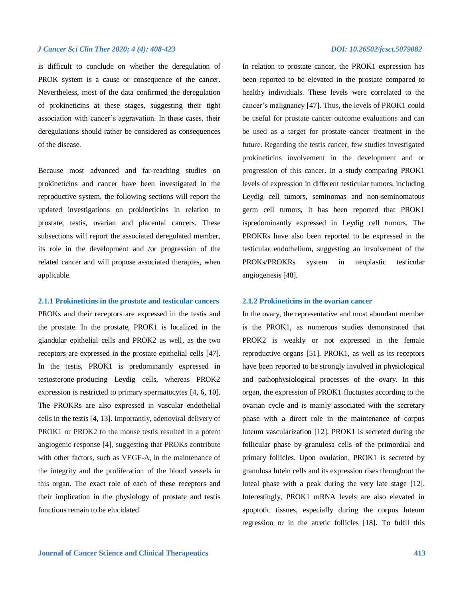is difficult to conclude on whether the deregulation of PROK system is a cause or consequence of the cancer. Nevertheless, most of the data confirmed the deregulation of prokineticins at these stages, suggesting their tight association with cancer's aggravation. In these cases, their deregulations should rather be considered as consequences of the disease.

Because most advanced and far-reaching studies on prokineticins and cancer have been investigated in the reproductive system, the following sections will report the updated investigations on prokineticins in relation to prostate, testis, ovarian and placental cancers. These subsections will report the associated deregulated member, its role in the development and /or progression of the related cancer and will propose associated therapies, when applicable.

### **2.1.1 Prokineticins in the prostate and testicular cancers**

PROKs and their receptors are expressed in the testis and the prostate. In the prostate, PROK1 is localized in the glandular epithelial cells and PROK2 as well, as the two receptors are expressed in the prostate epithelial cells [47]. In the testis, PROK1 is predominantly expressed in testosterone-producing Leydig cells, whereas PROK2 expression is restricted to primary spermatocytes [4, 6, 10]. The PROKRs are also expressed in vascular endothelial cells in the testis [4, 13]. Importantly, adenoviral delivery of PROK1 or PROK2 to the mouse testis resulted in a potent angiogenic response [4], suggesting that PROKs contribute with other factors, such as VEGF-A, in the maintenance of the integrity and the proliferation of the blood vessels in this organ. The exact role of each of these receptors and their implication in the physiology of prostate and testis functions remain to be elucidated.

In relation to prostate cancer, the PROK1 expression has been reported to be elevated in the prostate compared to healthy individuals. These levels were correlated to the cancer's malignancy [47]. Thus, the levels of PROK1 could be useful for prostate cancer outcome evaluations and can be used as a target for prostate cancer treatment in the future. Regarding the testis cancer, few studies investigated prokineticins involvement in the development and or progression of this cancer. In a study comparing PROK1 levels of expression in different testicular tumors, including Leydig cell tumors, seminomas and non-seminomatous germ cell tumors, it has been reported that PROK1 ispredominantly expressed in Leydig cell tumors. The PROKRs have also been reported to be expressed in the testicular endothelium, suggesting an involvement of the PROKs/PROKRs system in neoplastic testicular angiogenesis [48].

### **2.1.2 Prokineticins in the ovarian cancer**

In the ovary, the representative and most abundant member is the PROK1, as numerous studies demonstrated that PROK2 is weakly or not expressed in the female reproductive organs [51]. PROK1, as well as its receptors have been reported to be strongly involved in physiological and pathophysiological processes of the ovary. In this organ, the expression of PROK1 fluctuates according to the ovarian cycle and is mainly associated with the secretary phase with a direct role in the maintenance of corpus luteum vascularization [12]. PROK1 is secreted during the follicular phase by granulosa cells of the primordial and primary follicles. Upon ovulation, PROK1 is secreted by granulosa lutein cells and its expression rises throughout the luteal phase with a peak during the very late stage [12]. Interestingly, PROK1 mRNA levels are also elevated in apoptotic tissues, especially during the corpus luteum regression or in the atretic follicles [18]. To fulfil this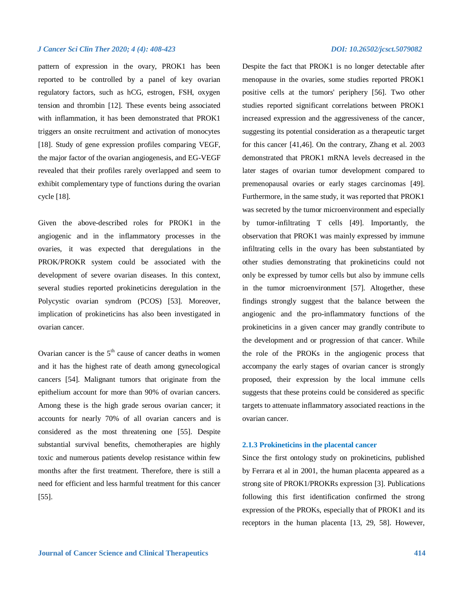pattern of expression in the ovary, PROK1 has been reported to be controlled by a panel of key ovarian regulatory factors, such as hCG, estrogen, FSH, oxygen tension and thrombin [12]. These events being associated with inflammation, it has been demonstrated that PROK1 triggers an onsite recruitment and activation of monocytes [18]. Study of gene expression profiles comparing VEGF, the major factor of the ovarian angiogenesis, and EG-VEGF revealed that their profiles rarely overlapped and seem to exhibit complementary type of functions during the ovarian cycle [18].

Given the above-described roles for PROK1 in the angiogenic and in the inflammatory processes in the ovaries, it was expected that deregulations in the PROK/PROKR system could be associated with the development of severe ovarian diseases. In this context, several studies reported prokineticins deregulation in the Polycystic ovarian syndrom (PCOS) [53]. Moreover, implication of prokineticins has also been investigated in ovarian cancer.

Ovarian cancer is the  $5<sup>th</sup>$  cause of cancer deaths in women and it has the highest rate of death among gynecological cancers [54]. Malignant tumors that originate from the epithelium account for more than 90% of ovarian cancers. Among these is the high grade serous ovarian cancer; it accounts for nearly 70% of all ovarian cancers and is considered as the most threatening one [55]. Despite substantial survival benefits, chemotherapies are highly toxic and numerous patients develop resistance within few months after the first treatment. Therefore, there is still a need for efficient and less harmful treatment for this cancer [55].

Despite the fact that PROK1 is no longer detectable after menopause in the ovaries, some studies reported PROK1 positive cells at the tumors' periphery [56]. Two other studies reported significant correlations between PROK1 increased expression and the aggressiveness of the cancer, suggesting its potential consideration as a therapeutic target for this cancer [41,46]. On the contrary, Zhang et al. 2003 demonstrated that PROK1 mRNA levels decreased in the later stages of ovarian tumor development compared to premenopausal ovaries or early stages carcinomas [49]. Furthermore, in the same study, it was reported that PROK1 was secreted by the tumor microenvironment and especially by tumor-infiltrating T cells [49]. Importantly, the observation that PROK1 was mainly expressed by immune infiltrating cells in the ovary has been substantiated by other studies demonstrating that prokineticins could not only be expressed by tumor cells but also by immune cells in the tumor microenvironment [57]. Altogether, these findings strongly suggest that the balance between the angiogenic and the pro-inflammatory functions of the prokineticins in a given cancer may grandly contribute to the development and or progression of that cancer. While the role of the PROKs in the angiogenic process that accompany the early stages of ovarian cancer is strongly proposed, their expression by the local immune cells suggests that these proteins could be considered as specific targets to attenuate inflammatory associated reactions in the ovarian cancer.

## **2.1.3 Prokineticins in the placental cancer**

Since the first ontology study on prokineticins, published by Ferrara et al in 2001, the human placenta appeared as a strong site of PROK1/PROKRs expression [3]. Publications following this first identification confirmed the strong expression of the PROKs, especially that of PROK1 and its receptors in the human placenta [13, 29, 58]. However,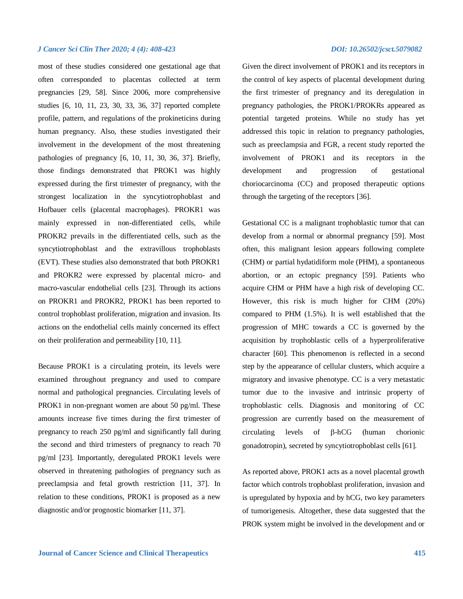most of these studies considered one gestational age that often corresponded to placentas collected at term pregnancies [29, 58]. Since 2006, more comprehensive studies [6, 10, 11, 23, 30, 33, 36, 37] reported complete profile, pattern, and regulations of the prokineticins during human pregnancy. Also, these studies investigated their involvement in the development of the most threatening pathologies of pregnancy [6, 10, 11, 30, 36, 37]. Briefly, those findings demonstrated that PROK1 was highly expressed during the first trimester of pregnancy, with the strongest localization in the syncytiotrophoblast and Hofbauer cells (placental macrophages). PROKR1 was mainly expressed in non-differentiated cells, while PROKR2 prevails in the differentiated cells, such as the syncytiotrophoblast and the extravillous trophoblasts (EVT). These studies also demonstrated that both PROKR1 and PROKR2 were expressed by placental micro- and macro-vascular endothelial cells [23]. Through its actions on PROKR1 and PROKR2, PROK1 has been reported to control trophoblast proliferation, migration and invasion. Its actions on the endothelial cells mainly concerned its effect on their proliferation and permeability [10, 11].

Because PROK1 is a circulating protein, its levels were examined throughout pregnancy and used to compare normal and pathological pregnancies. Circulating levels of PROK1 in non-pregnant women are about 50 pg/ml. These amounts increase five times during the first trimester of pregnancy to reach 250 pg/ml and significantly fall during the second and third trimesters of pregnancy to reach 70 pg/ml [23]. Importantly, deregulated PROK1 levels were observed in threatening pathologies of pregnancy such as preeclampsia and fetal growth restriction [11, 37]. In relation to these conditions, PROK1 is proposed as a new diagnostic and/or prognostic biomarker [11, 37].

Given the direct involvement of PROK1 and its receptors in the control of key aspects of placental development during the first trimester of pregnancy and its deregulation in pregnancy pathologies, the PROK1/PROKRs appeared as potential targeted proteins. While no study has yet addressed this topic in relation to pregnancy pathologies, such as preeclampsia and FGR, a recent study reported the involvement of PROK1 and its receptors in the development and progression of gestational choriocarcinoma (CC) and proposed therapeutic options through the targeting of the receptors [36].

Gestational CC is a malignant trophoblastic tumor that can develop from a normal or abnormal pregnancy [59]. Most often, this malignant lesion appears following complete (CHM) or partial hydatidiform mole (PHM), a spontaneous abortion, or an ectopic pregnancy [59]. Patients who acquire CHM or PHM have a high risk of developing CC. However, this risk is much higher for CHM (20%) compared to PHM (1.5%). It is well established that the progression of MHC towards a CC is governed by the acquisition by trophoblastic cells of a hyperproliferative character [60]. This phenomenon is reflected in a second step by the appearance of cellular clusters, which acquire a migratory and invasive phenotype. CC is a very metastatic tumor due to the invasive and intrinsic property of trophoblastic cells. Diagnosis and monitoring of CC progression are currently based on the measurement of  $circulating$  levels of  $\beta$ -hCG (human chorionic gonadotropin), secreted by syncytiotrophoblast cells [61].

As reported above, PROK1 acts as a novel placental growth factor which controls trophoblast proliferation, invasion and is upregulated by hypoxia and by hCG, two key parameters of tumorigenesis. Altogether, these data suggested that the PROK system might be involved in the development and or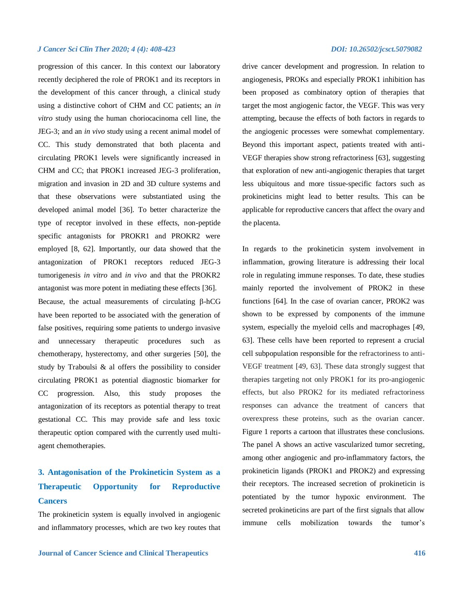progression of this cancer. In this context our laboratory recently deciphered the role of PROK1 and its receptors in the development of this cancer through, a clinical study using a distinctive cohort of CHM and CC patients; an *in vitro* study using the human choriocacinoma cell line, the JEG-3; and an *in vivo* study using a recent animal model of CC. This study demonstrated that both placenta and circulating PROK1 levels were significantly increased in CHM and CC; that PROK1 increased JEG-3 proliferation, migration and invasion in 2D and 3D culture systems and that these observations were substantiated using the developed animal model [36]. To better characterize the type of receptor involved in these effects, non-peptide specific antagonists for PROKR1 and PROKR2 were employed [8, 62]. Importantly, our data showed that the antagonization of PROK1 receptors reduced JEG-3 tumorigenesis *in vitro* and *in vivo* and that the PROKR2 antagonist was more potent in mediating these effects [36]. Because, the actual measurements of circulating  $\beta$ -hCG have been reported to be associated with the generation of false positives, requiring some patients to undergo invasive and unnecessary therapeutic procedures such chemotherapy, hysterectomy, and other surgeries [50], the study by Traboulsi & al offers the possibility to consider circulating PROK1 as potential diagnostic biomarker for CC progression. Also, this study proposes the antagonization of its receptors as potential therapy to treat gestational CC. This may provide safe and less toxic therapeutic option compared with the currently used multiagent chemotherapies.

## **3. Antagonisation of the Prokineticin System as a Therapeutic Opportunity for Reproductive Cancers**

The prokineticin system is equally involved in angiogenic and inflammatory processes, which are two key routes that

drive cancer development and progression. In relation to angiogenesis, PROKs and especially PROK1 inhibition has been proposed as combinatory option of therapies that target the most angiogenic factor, the VEGF. This was very attempting, because the effects of both factors in regards to the angiogenic processes were somewhat complementary. Beyond this important aspect, patients treated with anti-VEGF therapies show strong refractoriness [63], suggesting that exploration of new anti-angiogenic therapies that target less ubiquitous and more tissue-specific factors such as prokineticins might lead to better results. This can be applicable for reproductive cancers that affect the ovary and the placenta.

In regards to the prokineticin system involvement in inflammation, growing literature is addressing their local role in regulating immune responses. To date, these studies mainly reported the involvement of PROK2 in these functions [64]. In the case of ovarian cancer, PROK2 was shown to be expressed by components of the immune system, especially the myeloid cells and macrophages [49, 63]. These cells have been reported to represent a crucial cell subpopulation responsible for the refractoriness to anti-VEGF treatment [49, 63]. These data strongly suggest that therapies targeting not only PROK1 for its pro-angiogenic effects, but also PROK2 for its mediated refractoriness responses can advance the treatment of cancers that overexpress these proteins, such as the ovarian cancer. Figure 1 reports a cartoon that illustrates these conclusions. The panel A shows an active vascularized tumor secreting, among other angiogenic and pro-inflammatory factors, the prokineticin ligands (PROK1 and PROK2) and expressing their receptors. The increased secretion of prokineticin is potentiated by the tumor hypoxic environment. The secreted prokineticins are part of the first signals that allow immune cells mobilization towards the tumor's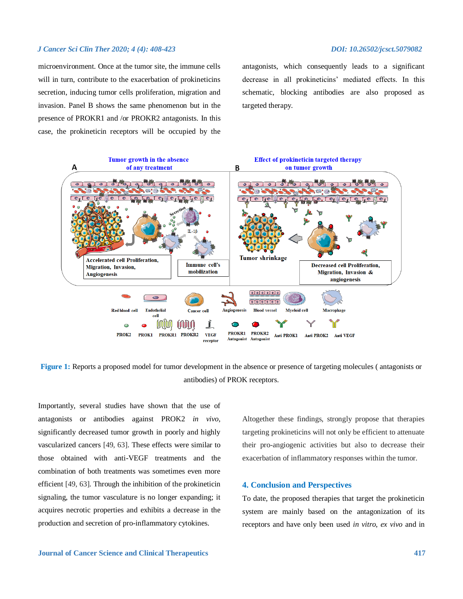microenvironment. Once at the tumor site, the immune cells will in turn, contribute to the exacerbation of prokineticins secretion, inducing tumor cells proliferation, migration and invasion. Panel B shows the same phenomenon but in the presence of PROKR1 and /or PROKR2 antagonists. In this case, the prokineticin receptors will be occupied by the

antagonists, which consequently leads to a significant decrease in all prokineticins' mediated effects. In this schematic, blocking antibodies are also proposed as targeted therapy.



**Figure 1:** Reports a proposed model for tumor development in the absence or presence of targeting molecules ( antagonists or antibodies) of PROK receptors.

Importantly, several studies have shown that the use of antagonists or antibodies against PROK2 *in vivo,* significantly decreased tumor growth in poorly and highly vascularized cancers [49, 63]. These effects were similar to those obtained with anti-VEGF treatments and the combination of both treatments was sometimes even more efficient [49, 63]. Through the inhibition of the prokineticin signaling, the tumor vasculature is no longer expanding; it acquires necrotic properties and exhibits a decrease in the production and secretion of pro-inflammatory cytokines.

Altogether these findings, strongly propose that therapies targeting prokineticins will not only be efficient to attenuate their pro-angiogenic activities but also to decrease their exacerbation of inflammatory responses within the tumor.

### **4. Conclusion and Perspectives**

To date, the proposed therapies that target the prokineticin system are mainly based on the antagonization of its receptors and have only been used *in vitro*, *ex vivo* and in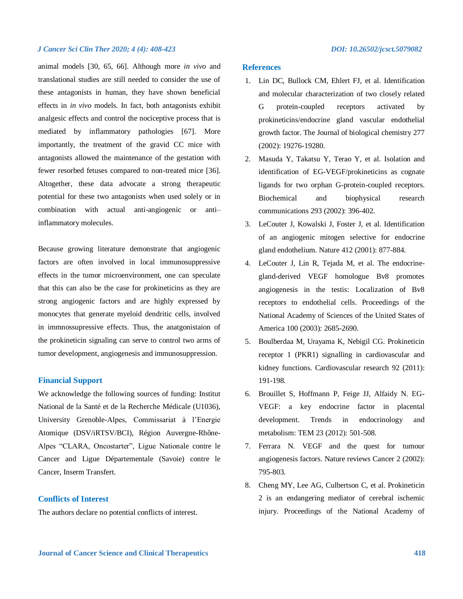animal models [30, 65, 66]. Although more *in vivo* and translational studies are still needed to consider the use of these antagonists in human, they have shown beneficial effects in *in vivo* models. In fact, both antagonists exhibit analgesic effects and control the nociceptive process that is mediated by inflammatory pathologies [67]. More importantly, the treatment of the gravid CC mice with antagonists allowed the maintenance of the gestation with fewer resorbed fetuses compared to non-treated mice [36]. Altogether, these data advocate a strong therapeutic potential for these two antagonists when used solely or in combination with actual anti-angiogenic or anti– inflammatory molecules.

Because growing literature demonstrate that angiogenic factors are often involved in local immunosuppressive effects in the tumor microenvironment, one can speculate that this can also be the case for prokineticins as they are strong angiogenic factors and are highly expressed by monocytes that generate myeloid dendritic cells, involved in immnossupressive effects. Thus, the anatgonistaion of the prokineticin signaling can serve to control two arms of tumor development, angiogenesis and immunosuppression.

## **Financial Support**

We acknowledge the following sources of funding: Institut National de la Santé et de la Recherche Médicale (U1036), University Grenoble-Alpes, Commissariat à l'Energie Atomique (DSV/iRTSV/BCI), Région Auvergne-Rhône-Alpes "CLARA, Oncostarter", Ligue Nationale contre le Cancer and Ligue Départementale (Savoie) contre le Cancer, Inserm Transfert.

## **Conflicts of Interest**

The authors declare no potential conflicts of interest.

## **References**

- 1. Lin DC, Bullock CM, Ehlert FJ, et al. Identification and molecular characterization of two closely related G protein-coupled receptors activated by prokineticins/endocrine gland vascular endothelial growth factor. The Journal of biological chemistry 277 (2002): 19276-19280.
- 2. Masuda Y, Takatsu Y, Terao Y, et al. Isolation and identification of EG-VEGF/prokineticins as cognate ligands for two orphan G-protein-coupled receptors. Biochemical and biophysical research communications 293 (2002): 396-402.
- 3. LeCouter J, Kowalski J, Foster J, et al. Identification of an angiogenic mitogen selective for endocrine gland endothelium. Nature 412 (2001): 877-884.
- 4. LeCouter J, Lin R, Tejada M, et al. The endocrinegland-derived VEGF homologue Bv8 promotes angiogenesis in the testis: Localization of Bv8 receptors to endothelial cells. Proceedings of the National Academy of Sciences of the United States of America 100 (2003): 2685-2690.
- 5. Boulberdaa M, Urayama K, Nebigil CG. Prokineticin receptor 1 (PKR1) signalling in cardiovascular and kidney functions. Cardiovascular research 92 (2011): 191-198.
- 6. Brouillet S, Hoffmann P, Feige JJ, Alfaidy N. EG-VEGF: a key endocrine factor in placental development. Trends in endocrinology and metabolism: TEM 23 (2012): 501-508.
- 7. Ferrara N. VEGF and the quest for tumour angiogenesis factors. Nature reviews Cancer 2 (2002): 795-803.
- 8. Cheng MY, Lee AG, Culbertson C, et al. Prokineticin 2 is an endangering mediator of cerebral ischemic injury. Proceedings of the National Academy of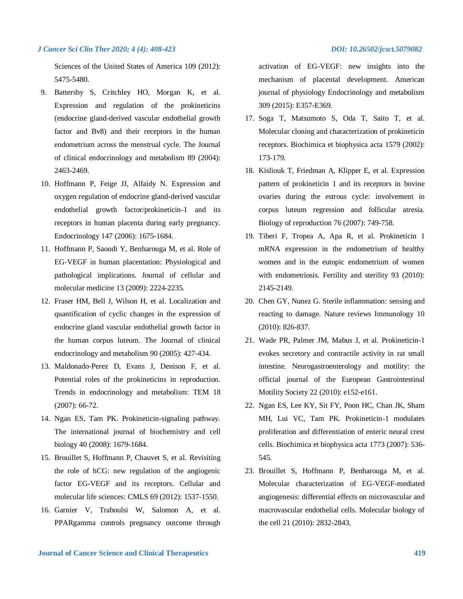Sciences of the United States of America 109 (2012): 5475-5480.

- 9. Battersby S, Critchley HO, Morgan K, et al. Expression and regulation of the prokineticins (endocrine gland-derived vascular endothelial growth factor and Bv8) and their receptors in the human endometrium across the menstrual cycle. The Journal of clinical endocrinology and metabolism 89 (2004): 2463-2469.
- 10. Hoffmann P, Feige JJ, Alfaidy N. Expression and oxygen regulation of endocrine gland-derived vascular endothelial growth factor/prokineticin-1 and its receptors in human placenta during early pregnancy. Endocrinology 147 (2006): 1675-1684.
- 11. Hoffmann P, Saoudi Y, Benharouga M, et al. Role of EG-VEGF in human placentation: Physiological and pathological implications. Journal of cellular and molecular medicine 13 (2009): 2224-2235.
- 12. Fraser HM, Bell J, Wilson H, et al. Localization and quantification of cyclic changes in the expression of endocrine gland vascular endothelial growth factor in the human corpus luteum. The Journal of clinical endocrinology and metabolism 90 (2005): 427-434.
- 13. Maldonado-Perez D, Evans J, Denison F, et al. Potential roles of the prokineticins in reproduction. Trends in endocrinology and metabolism: TEM 18 (2007): 66-72.
- 14. Ngan ES, Tam PK. Prokineticin-signaling pathway. The international journal of biochemistry and cell biology 40 (2008): 1679-1684.
- 15. Brouillet S, Hoffmann P, Chauvet S, et al. Revisiting the role of hCG: new regulation of the angiogenic factor EG-VEGF and its receptors. Cellular and molecular life sciences: CMLS 69 (2012): 1537-1550.
- 16. Garnier V, Traboulsi W, Salomon A, et al. PPARgamma controls pregnancy outcome through

activation of EG-VEGF: new insights into the mechanism of placental development. American journal of physiology Endocrinology and metabolism 309 (2015): E357-E369.

- 17. Soga T, Matsumoto S, Oda T, Saito T, et al. Molecular cloning and characterization of prokineticin receptors. Biochimica et biophysica acta 1579 (2002): 173-179.
- 18. Kisliouk T, Friedman A, Klipper E, et al. Expression pattern of prokineticin 1 and its receptors in bovine ovaries during the estrous cycle: involvement in corpus luteum regression and follicular atresia. Biology of reproduction 76 (2007): 749-758.
- 19. Tiberi F, Tropea A, Apa R, et al. Prokineticin 1 mRNA expression in the endometrium of healthy women and in the eutopic endometrium of women with endometriosis. Fertility and sterility 93 (2010): 2145-2149.
- 20. Chen GY, Nunez G. Sterile inflammation: sensing and reacting to damage. Nature reviews Immunology 10 (2010): 826-837.
- 21. Wade PR, Palmer JM, Mabus J, et al. Prokineticin-1 evokes secretory and contractile activity in rat small intestine. Neurogastroenterology and motility: the official journal of the European Gastrointestinal Motility Society 22 (2010): e152-e161.
- 22. Ngan ES, Lee KY, Sit FY, Poon HC, Chan JK, Sham MH, Lui VC, Tam PK. Prokineticin-1 modulates proliferation and differentiation of enteric neural crest cells. Biochimica et biophysica acta 1773 (2007): 536- 545.
- 23. Brouillet S, Hoffmann P, Benharouga M, et al. Molecular characterization of EG-VEGF-mediated angiogenesis: differential effects on microvascular and macrovascular endothelial cells. Molecular biology of the cell 21 (2010): 2832-2843.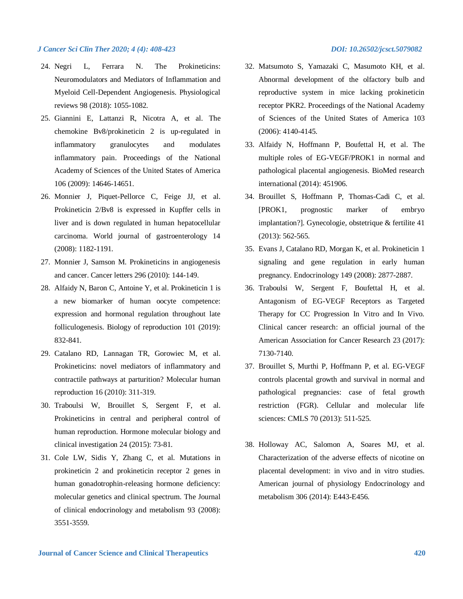- 24. Negri L, Ferrara N. The Prokineticins: Neuromodulators and Mediators of Inflammation and Myeloid Cell-Dependent Angiogenesis. Physiological reviews 98 (2018): 1055-1082.
- 25. Giannini E, Lattanzi R, Nicotra A, et al. The chemokine Bv8/prokineticin 2 is up-regulated in inflammatory granulocytes and modulates inflammatory pain. Proceedings of the National Academy of Sciences of the United States of America 106 (2009): 14646-14651.
- 26. Monnier J, Piquet-Pellorce C, Feige JJ, et al. Prokineticin 2/Bv8 is expressed in Kupffer cells in liver and is down regulated in human hepatocellular carcinoma. World journal of gastroenterology 14 (2008): 1182-1191.
- 27. Monnier J, Samson M. Prokineticins in angiogenesis and cancer. Cancer letters 296 (2010): 144-149.
- 28. Alfaidy N, Baron C, Antoine Y, et al. Prokineticin 1 is a new biomarker of human oocyte competence: expression and hormonal regulation throughout late folliculogenesis. Biology of reproduction 101 (2019): 832-841.
- 29. Catalano RD, Lannagan TR, Gorowiec M, et al. Prokineticins: novel mediators of inflammatory and contractile pathways at parturition? Molecular human reproduction 16 (2010): 311-319.
- 30. Traboulsi W, Brouillet S, Sergent F, et al. Prokineticins in central and peripheral control of human reproduction. Hormone molecular biology and clinical investigation 24 (2015): 73-81.
- 31. Cole LW, Sidis Y, Zhang C, et al. Mutations in prokineticin 2 and prokineticin receptor 2 genes in human gonadotrophin-releasing hormone deficiency: molecular genetics and clinical spectrum. The Journal of clinical endocrinology and metabolism 93 (2008): 3551-3559.
- 32. Matsumoto S, Yamazaki C, Masumoto KH, et al. Abnormal development of the olfactory bulb and reproductive system in mice lacking prokineticin receptor PKR2. Proceedings of the National Academy of Sciences of the United States of America 103 (2006): 4140-4145.
- 33. Alfaidy N, Hoffmann P, Boufettal H, et al. The multiple roles of EG-VEGF/PROK1 in normal and pathological placental angiogenesis. BioMed research international (2014): 451906.
- 34. Brouillet S, Hoffmann P, Thomas-Cadi C, et al. [PROK1, prognostic marker of embryo implantation?]. Gynecologie, obstetrique & fertilite 41 (2013): 562-565.
- 35. Evans J, Catalano RD, Morgan K, et al. Prokineticin 1 signaling and gene regulation in early human pregnancy. Endocrinology 149 (2008): 2877-2887.
- 36. Traboulsi W, Sergent F, Boufettal H, et al. Antagonism of EG-VEGF Receptors as Targeted Therapy for CC Progression In Vitro and In Vivo. Clinical cancer research: an official journal of the American Association for Cancer Research 23 (2017): 7130-7140.
- 37. Brouillet S, Murthi P, Hoffmann P, et al. EG-VEGF controls placental growth and survival in normal and pathological pregnancies: case of fetal growth restriction (FGR). Cellular and molecular life sciences: CMLS 70 (2013): 511-525.
- 38. Holloway AC, Salomon A, Soares MJ, et al. Characterization of the adverse effects of nicotine on placental development: in vivo and in vitro studies. American journal of physiology Endocrinology and metabolism 306 (2014): E443-E456.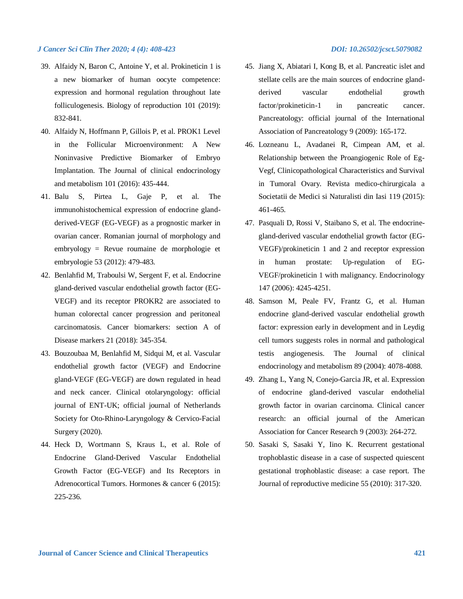- 39. Alfaidy N, Baron C, Antoine Y, et al. Prokineticin 1 is a new biomarker of human oocyte competence: expression and hormonal regulation throughout late folliculogenesis. Biology of reproduction 101 (2019): 832-841.
- 40. Alfaidy N, Hoffmann P, Gillois P, et al. PROK1 Level in the Follicular Microenvironment: A New Noninvasive Predictive Biomarker of Embryo Implantation. The Journal of clinical endocrinology and metabolism 101 (2016): 435-444.
- 41. Balu S, Pirtea L, Gaje P, et al. The immunohistochemical expression of endocrine glandderived-VEGF (EG-VEGF) as a prognostic marker in ovarian cancer. Romanian journal of morphology and embryology = Revue roumaine de morphologie et embryologie 53 (2012): 479-483.
- 42. Benlahfid M, Traboulsi W, Sergent F, et al. Endocrine gland-derived vascular endothelial growth factor (EG-VEGF) and its receptor PROKR2 are associated to human colorectal cancer progression and peritoneal carcinomatosis. Cancer biomarkers: section A of Disease markers 21 (2018): 345-354.
- 43. Bouzoubaa M, Benlahfid M, Sidqui M, et al. Vascular endothelial growth factor (VEGF) and Endocrine gland-VEGF (EG-VEGF) are down regulated in head and neck cancer. Clinical otolaryngology: official journal of ENT-UK; official journal of Netherlands Society for Oto-Rhino-Laryngology & Cervico-Facial Surgery (2020).
- 44. Heck D, Wortmann S, Kraus L, et al. Role of Endocrine Gland-Derived Vascular Endothelial Growth Factor (EG-VEGF) and Its Receptors in Adrenocortical Tumors. Hormones & cancer 6 (2015): 225-236.
- 45. Jiang X, Abiatari I, Kong B, et al. Pancreatic islet and stellate cells are the main sources of endocrine glandderived vascular endothelial growth factor/prokineticin-1 in pancreatic cancer. Pancreatology: official journal of the International Association of Pancreatology 9 (2009): 165-172.
- 46. Lozneanu L, Avadanei R, Cimpean AM, et al. Relationship between the Proangiogenic Role of Eg-Vegf, Clinicopathological Characteristics and Survival in Tumoral Ovary. Revista medico-chirurgicala a Societatii de Medici si Naturalisti din Iasi 119 (2015): 461-465.
- 47. Pasquali D, Rossi V, Staibano S, et al. The endocrinegland-derived vascular endothelial growth factor (EG-VEGF)/prokineticin 1 and 2 and receptor expression in human prostate: Up-regulation of EG-VEGF/prokineticin 1 with malignancy. Endocrinology 147 (2006): 4245-4251.
- 48. Samson M, Peale FV, Frantz G, et al. Human endocrine gland-derived vascular endothelial growth factor: expression early in development and in Leydig cell tumors suggests roles in normal and pathological testis angiogenesis. The Journal of clinical endocrinology and metabolism 89 (2004): 4078-4088.
- 49. Zhang L, Yang N, Conejo-Garcia JR, et al. Expression of endocrine gland-derived vascular endothelial growth factor in ovarian carcinoma. Clinical cancer research: an official journal of the American Association for Cancer Research 9 (2003): 264-272.
- 50. Sasaki S, Sasaki Y, Iino K. Recurrent gestational trophoblastic disease in a case of suspected quiescent gestational trophoblastic disease: a case report. The Journal of reproductive medicine 55 (2010): 317-320.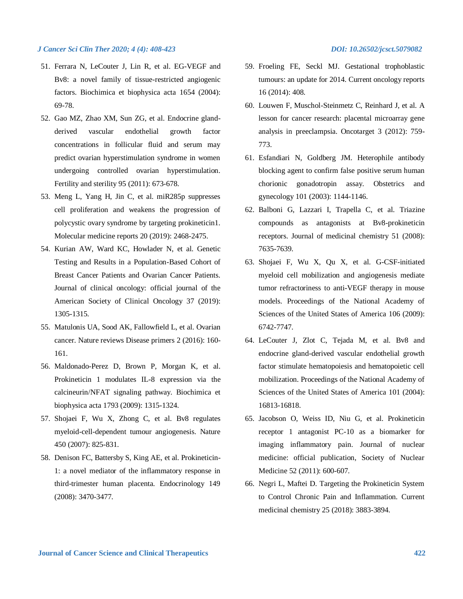- 51. Ferrara N, LeCouter J, Lin R, et al. EG-VEGF and Bv8: a novel family of tissue-restricted angiogenic factors. Biochimica et biophysica acta 1654 (2004): 69-78.
- 52. Gao MZ, Zhao XM, Sun ZG, et al. Endocrine glandderived vascular endothelial growth factor concentrations in follicular fluid and serum may predict ovarian hyperstimulation syndrome in women undergoing controlled ovarian hyperstimulation. Fertility and sterility 95 (2011): 673-678.
- 53. Meng L, Yang H, Jin C, et al. miR285p suppresses cell proliferation and weakens the progression of polycystic ovary syndrome by targeting prokineticin1. Molecular medicine reports 20 (2019): 2468-2475.
- 54. Kurian AW, Ward KC, Howlader N, et al. Genetic Testing and Results in a Population-Based Cohort of Breast Cancer Patients and Ovarian Cancer Patients. Journal of clinical oncology: official journal of the American Society of Clinical Oncology 37 (2019): 1305-1315.
- 55. Matulonis UA, Sood AK, Fallowfield L, et al. Ovarian cancer. Nature reviews Disease primers 2 (2016): 160- 161.
- 56. Maldonado-Perez D, Brown P, Morgan K, et al. Prokineticin 1 modulates IL-8 expression via the calcineurin/NFAT signaling pathway. Biochimica et biophysica acta 1793 (2009): 1315-1324.
- 57. Shojaei F, Wu X, Zhong C, et al. Bv8 regulates myeloid-cell-dependent tumour angiogenesis. Nature 450 (2007): 825-831.
- 58. Denison FC, Battersby S, King AE, et al. Prokineticin-1: a novel mediator of the inflammatory response in third-trimester human placenta. Endocrinology 149 (2008): 3470-3477.
- 59. Froeling FE, Seckl MJ. Gestational trophoblastic tumours: an update for 2014. Current oncology reports 16 (2014): 408.
- 60. Louwen F, Muschol-Steinmetz C, Reinhard J, et al. A lesson for cancer research: placental microarray gene analysis in preeclampsia. Oncotarget 3 (2012): 759- 773.
- 61. Esfandiari N, Goldberg JM. Heterophile antibody blocking agent to confirm false positive serum human chorionic gonadotropin assay. Obstetrics and gynecology 101 (2003): 1144-1146.
- 62. Balboni G, Lazzari I, Trapella C, et al. Triazine compounds as antagonists at Bv8-prokineticin receptors. Journal of medicinal chemistry 51 (2008): 7635-7639.
- 63. Shojaei F, Wu X, Qu X, et al. G-CSF-initiated myeloid cell mobilization and angiogenesis mediate tumor refractoriness to anti-VEGF therapy in mouse models. Proceedings of the National Academy of Sciences of the United States of America 106 (2009): 6742-7747.
- 64. LeCouter J, Zlot C, Tejada M, et al. Bv8 and endocrine gland-derived vascular endothelial growth factor stimulate hematopoiesis and hematopoietic cell mobilization. Proceedings of the National Academy of Sciences of the United States of America 101 (2004): 16813-16818.
- 65. Jacobson O, Weiss ID, Niu G, et al. Prokineticin receptor 1 antagonist PC-10 as a biomarker for imaging inflammatory pain. Journal of nuclear medicine: official publication, Society of Nuclear Medicine 52 (2011): 600-607.
- 66. Negri L, Maftei D. Targeting the Prokineticin System to Control Chronic Pain and Inflammation. Current medicinal chemistry 25 (2018): 3883-3894.